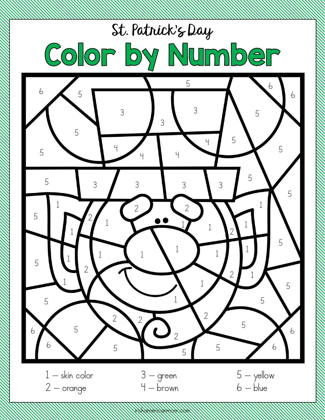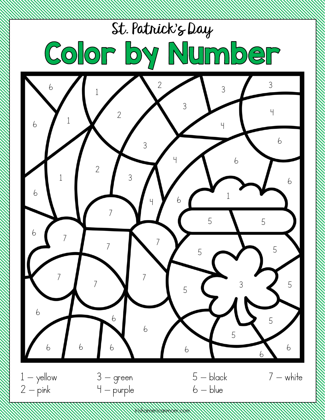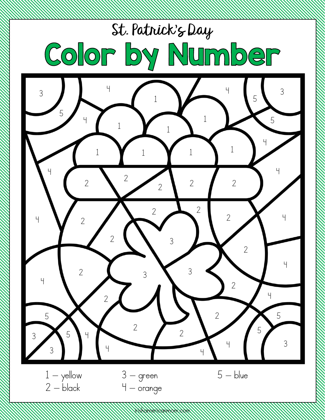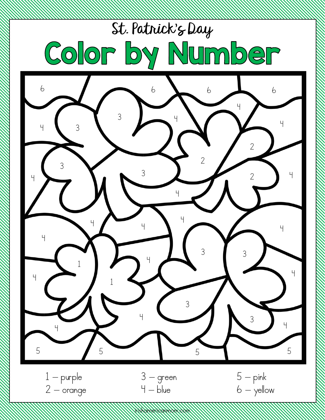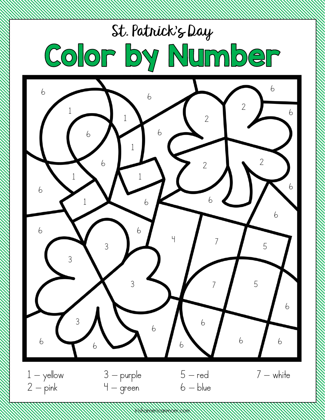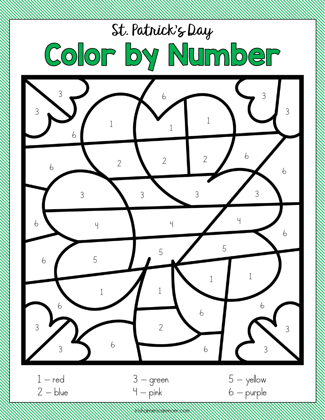